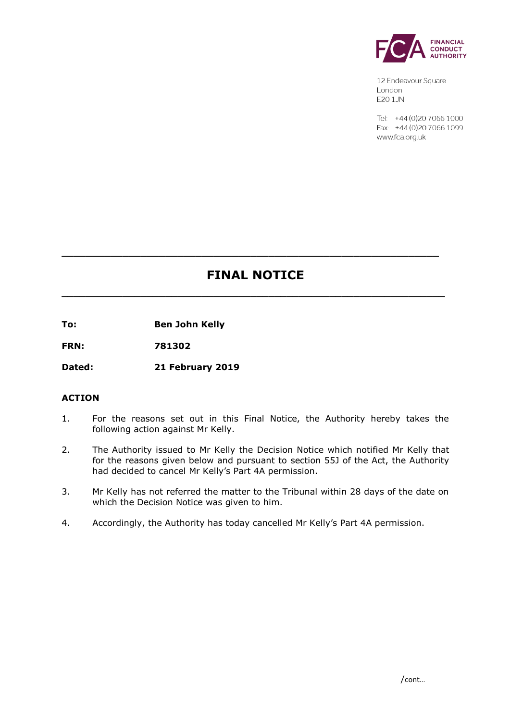

12 Endeavour Square London E201JN

Tel: +44 (0) 20 7066 1000 Fax: +44 (0) 20 7066 1099 www.fca.org.uk

# **FINAL NOTICE**

**\_\_\_\_\_\_\_\_\_\_\_\_\_\_\_\_\_\_\_\_\_\_\_\_\_\_\_\_\_\_\_\_\_\_\_\_\_\_\_\_\_\_\_\_\_\_\_\_\_\_\_\_\_\_\_\_\_\_\_\_\_\_\_**

**\_\_\_\_\_\_\_\_\_\_\_\_\_\_\_\_\_\_\_\_\_\_\_\_\_\_\_\_\_\_\_\_\_\_\_\_\_\_\_\_\_\_\_\_\_\_\_\_\_\_\_\_\_\_\_\_\_\_\_\_\_\_**

**To: Ben John Kelly** 

**FRN: 781302**

**Dated: 21 February 2019**

## **ACTION**

- 1. For the reasons set out in this Final Notice, the Authority hereby takes the following action against Mr Kelly.
- 2. The Authority issued to Mr Kelly the Decision Notice which notified Mr Kelly that for the reasons given below and pursuant to section 55J of the Act, the Authority had decided to cancel Mr Kelly's Part 4A permission.
- 3. Mr Kelly has not referred the matter to the Tribunal within 28 days of the date on which the Decision Notice was given to him.
- 4. Accordingly, the Authority has today cancelled Mr Kelly's Part 4A permission.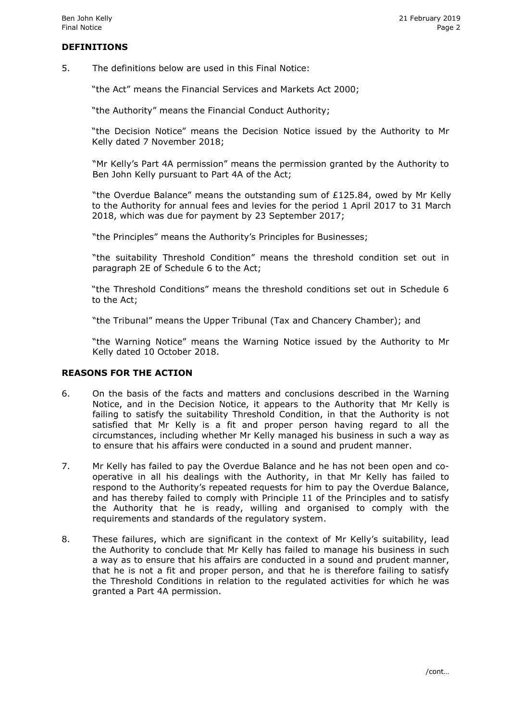#### **DEFINITIONS**

5. The definitions below are used in this Final Notice:

"the Act" means the Financial Services and Markets Act 2000;

"the Authority" means the Financial Conduct Authority;

"the Decision Notice" means the Decision Notice issued by the Authority to Mr Kelly dated 7 November 2018;

"Mr Kelly's Part 4A permission" means the permission granted by the Authority to Ben John Kelly pursuant to Part 4A of the Act;

"the Overdue Balance" means the outstanding sum of £125.84, owed by Mr Kelly to the Authority for annual fees and levies for the period 1 April 2017 to 31 March 2018, which was due for payment by 23 September 2017;

"the Principles" means the Authority's Principles for Businesses;

"the suitability Threshold Condition" means the threshold condition set out in paragraph 2E of Schedule 6 to the Act;

"the Threshold Conditions" means the threshold conditions set out in Schedule 6 to the Act;

"the Tribunal" means the Upper Tribunal (Tax and Chancery Chamber); and

"the Warning Notice" means the Warning Notice issued by the Authority to Mr Kelly dated 10 October 2018.

#### **REASONS FOR THE ACTION**

- 6. On the basis of the facts and matters and conclusions described in the Warning Notice, and in the Decision Notice, it appears to the Authority that Mr Kelly is failing to satisfy the suitability Threshold Condition, in that the Authority is not satisfied that Mr Kelly is a fit and proper person having regard to all the circumstances, including whether Mr Kelly managed his business in such a way as to ensure that his affairs were conducted in a sound and prudent manner.
- 7. Mr Kelly has failed to pay the Overdue Balance and he has not been open and cooperative in all his dealings with the Authority, in that Mr Kelly has failed to respond to the Authority's repeated requests for him to pay the Overdue Balance, and has thereby failed to comply with Principle 11 of the Principles and to satisfy the Authority that he is ready, willing and organised to comply with the requirements and standards of the regulatory system.
- 8. These failures, which are significant in the context of Mr Kelly's suitability, lead the Authority to conclude that Mr Kelly has failed to manage his business in such a way as to ensure that his affairs are conducted in a sound and prudent manner, that he is not a fit and proper person, and that he is therefore failing to satisfy the Threshold Conditions in relation to the regulated activities for which he was granted a Part 4A permission.